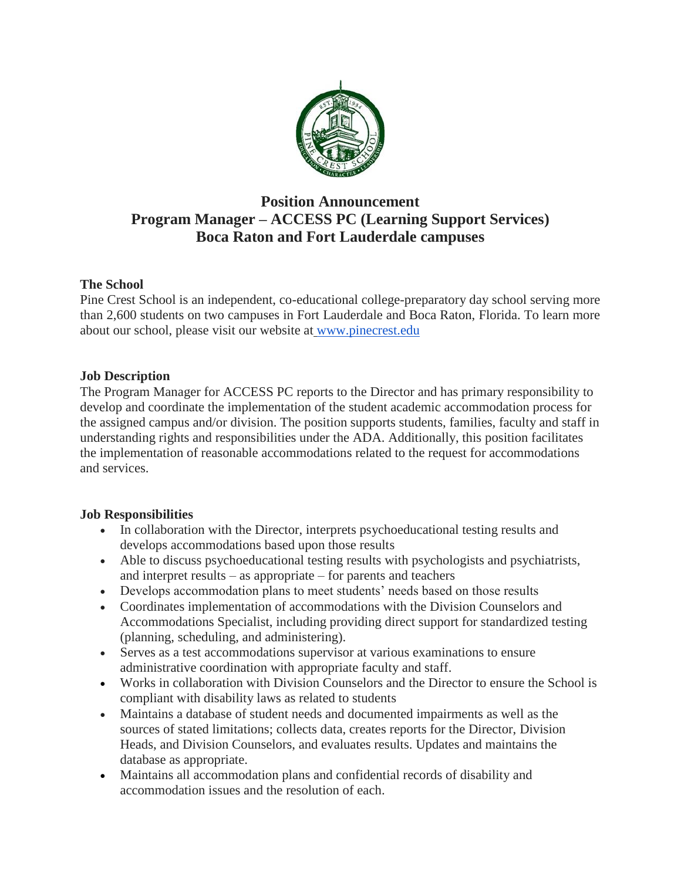

# **Position Announcement Program Manager – ACCESS PC (Learning Support Services) Boca Raton and Fort Lauderdale campuses**

## **The School**

Pine Crest School is an independent, co-educational college-preparatory day school serving more than 2,600 students on two campuses in Fort Lauderdale and Boca Raton, Florida. To learn more about our school, please visit our website at [www.pinecrest.edu](http://www.pinecrest.edu/)

## **Job Description**

The Program Manager for ACCESS PC reports to the Director and has primary responsibility to develop and coordinate the implementation of the student academic accommodation process for the assigned campus and/or division. The position supports students, families, faculty and staff in understanding rights and responsibilities under the ADA. Additionally, this position facilitates the implementation of reasonable accommodations related to the request for accommodations and services.

## **Job Responsibilities**

- In collaboration with the Director, interprets psychoeducational testing results and develops accommodations based upon those results
- Able to discuss psychoeducational testing results with psychologists and psychiatrists, and interpret results – as appropriate – for parents and teachers
- Develops accommodation plans to meet students' needs based on those results
- Coordinates implementation of accommodations with the Division Counselors and Accommodations Specialist, including providing direct support for standardized testing (planning, scheduling, and administering).
- Serves as a test accommodations supervisor at various examinations to ensure administrative coordination with appropriate faculty and staff.
- Works in collaboration with Division Counselors and the Director to ensure the School is compliant with disability laws as related to students
- Maintains a database of student needs and documented impairments as well as the sources of stated limitations; collects data, creates reports for the Director, Division Heads, and Division Counselors, and evaluates results. Updates and maintains the database as appropriate.
- Maintains all accommodation plans and confidential records of disability and accommodation issues and the resolution of each.